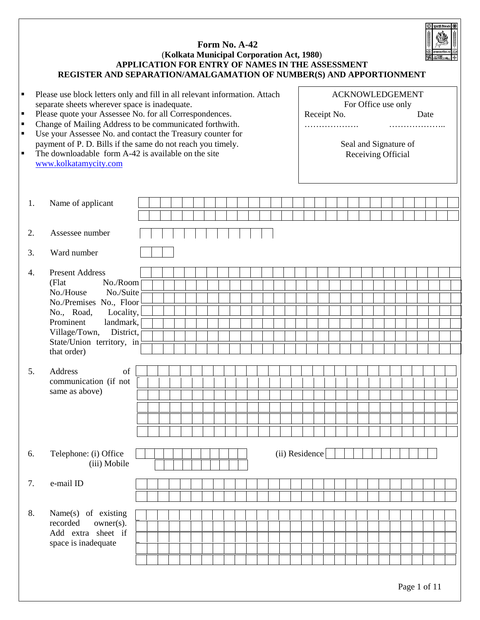

# **Form No. A-42**  (**Kolkata Municipal Corporation Act, 1980**) **APPLICATION FOR ENTRY OF NAMES IN THE ASSESSMENT REGISTER AND SEPARATION/AMALGAMATION OF NUMBER(S) AND APPORTIONMENT**

| ٠<br>٠<br>٠<br>٠<br>$\blacksquare$ | Please use block letters only and fill in all relevant information. Attach<br>separate sheets wherever space is inadequate.<br>Please quote your Assessee No. for all Correspondences.<br>Change of Mailing Address to be communicated forthwith.<br>Use your Assessee No. and contact the Treasury counter for<br>payment of P. D. Bills if the same do not reach you timely.<br>The downloadable form A-42 is available on the site<br>www.kolkatamycity.com |  |  |  |  |  |                |  | Receipt No.<br>. |  |  |  | <b>ACKNOWLEDGEMENT</b><br>For Office use only<br>Seal and Signature of<br>Receiving Official | Date | . |  |
|------------------------------------|----------------------------------------------------------------------------------------------------------------------------------------------------------------------------------------------------------------------------------------------------------------------------------------------------------------------------------------------------------------------------------------------------------------------------------------------------------------|--|--|--|--|--|----------------|--|------------------|--|--|--|----------------------------------------------------------------------------------------------|------|---|--|
| 1.                                 | Name of applicant                                                                                                                                                                                                                                                                                                                                                                                                                                              |  |  |  |  |  |                |  |                  |  |  |  |                                                                                              |      |   |  |
|                                    |                                                                                                                                                                                                                                                                                                                                                                                                                                                                |  |  |  |  |  |                |  |                  |  |  |  |                                                                                              |      |   |  |
| 2.                                 | Assessee number                                                                                                                                                                                                                                                                                                                                                                                                                                                |  |  |  |  |  |                |  |                  |  |  |  |                                                                                              |      |   |  |
| 3.                                 | Ward number                                                                                                                                                                                                                                                                                                                                                                                                                                                    |  |  |  |  |  |                |  |                  |  |  |  |                                                                                              |      |   |  |
| 4.                                 | <b>Present Address</b>                                                                                                                                                                                                                                                                                                                                                                                                                                         |  |  |  |  |  |                |  |                  |  |  |  |                                                                                              |      |   |  |
|                                    | No./Room<br>(Flat<br>No./House<br>No./Suite                                                                                                                                                                                                                                                                                                                                                                                                                    |  |  |  |  |  |                |  |                  |  |  |  |                                                                                              |      |   |  |
|                                    | No./Premises No., Floor                                                                                                                                                                                                                                                                                                                                                                                                                                        |  |  |  |  |  |                |  |                  |  |  |  |                                                                                              |      |   |  |
|                                    | No., Road,<br>Locality,                                                                                                                                                                                                                                                                                                                                                                                                                                        |  |  |  |  |  |                |  |                  |  |  |  |                                                                                              |      |   |  |
|                                    | Prominent<br>landmark,                                                                                                                                                                                                                                                                                                                                                                                                                                         |  |  |  |  |  |                |  |                  |  |  |  |                                                                                              |      |   |  |
|                                    | Village/Town,<br>District,                                                                                                                                                                                                                                                                                                                                                                                                                                     |  |  |  |  |  |                |  |                  |  |  |  |                                                                                              |      |   |  |
|                                    | State/Union territory, in<br>that order)                                                                                                                                                                                                                                                                                                                                                                                                                       |  |  |  |  |  |                |  |                  |  |  |  |                                                                                              |      |   |  |
|                                    |                                                                                                                                                                                                                                                                                                                                                                                                                                                                |  |  |  |  |  |                |  |                  |  |  |  |                                                                                              |      |   |  |
| 5.                                 | Address<br>of                                                                                                                                                                                                                                                                                                                                                                                                                                                  |  |  |  |  |  |                |  |                  |  |  |  |                                                                                              |      |   |  |
|                                    | communication (if not                                                                                                                                                                                                                                                                                                                                                                                                                                          |  |  |  |  |  |                |  |                  |  |  |  |                                                                                              |      |   |  |
|                                    | same as above)                                                                                                                                                                                                                                                                                                                                                                                                                                                 |  |  |  |  |  |                |  |                  |  |  |  |                                                                                              |      |   |  |
|                                    |                                                                                                                                                                                                                                                                                                                                                                                                                                                                |  |  |  |  |  |                |  |                  |  |  |  |                                                                                              |      |   |  |
|                                    |                                                                                                                                                                                                                                                                                                                                                                                                                                                                |  |  |  |  |  |                |  |                  |  |  |  |                                                                                              |      |   |  |
|                                    |                                                                                                                                                                                                                                                                                                                                                                                                                                                                |  |  |  |  |  |                |  |                  |  |  |  |                                                                                              |      |   |  |
| 6.                                 | Telephone: (i) Office<br>(iii) Mobile                                                                                                                                                                                                                                                                                                                                                                                                                          |  |  |  |  |  | (ii) Residence |  |                  |  |  |  |                                                                                              |      |   |  |
| 7.                                 | e-mail ID                                                                                                                                                                                                                                                                                                                                                                                                                                                      |  |  |  |  |  |                |  |                  |  |  |  |                                                                                              |      |   |  |
|                                    |                                                                                                                                                                                                                                                                                                                                                                                                                                                                |  |  |  |  |  |                |  |                  |  |  |  |                                                                                              |      |   |  |
| 8.                                 | Name(s) of existing<br>recorded<br>$owner(s)$ .<br>Add extra sheet if<br>space is inadequate                                                                                                                                                                                                                                                                                                                                                                   |  |  |  |  |  |                |  |                  |  |  |  |                                                                                              |      |   |  |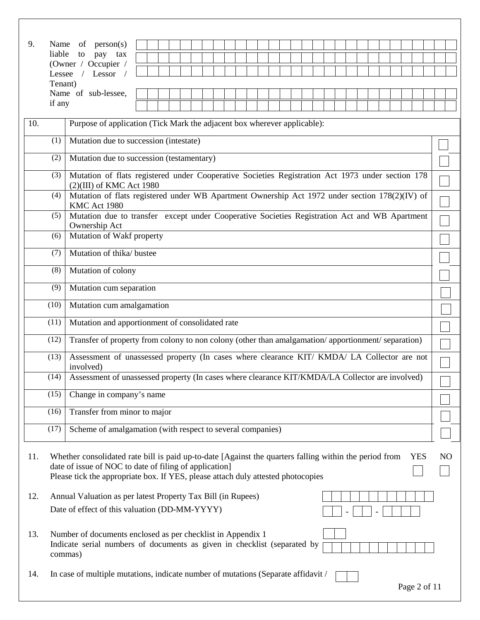| 9.  |         | Name of $person(s)$                                                                                                                                                                                                                                  |  |  |  |  |  |  |  |  |  |  |  |  |  |  |  |  |  |  |              |                |
|-----|---------|------------------------------------------------------------------------------------------------------------------------------------------------------------------------------------------------------------------------------------------------------|--|--|--|--|--|--|--|--|--|--|--|--|--|--|--|--|--|--|--------------|----------------|
|     | liable  | to<br>pay tax<br>(Owner / Occupier /                                                                                                                                                                                                                 |  |  |  |  |  |  |  |  |  |  |  |  |  |  |  |  |  |  |              |                |
|     | Lessee  | / Lessor $/$                                                                                                                                                                                                                                         |  |  |  |  |  |  |  |  |  |  |  |  |  |  |  |  |  |  |              |                |
|     | Tenant) |                                                                                                                                                                                                                                                      |  |  |  |  |  |  |  |  |  |  |  |  |  |  |  |  |  |  |              |                |
|     | if any  | Name of sub-lessee,                                                                                                                                                                                                                                  |  |  |  |  |  |  |  |  |  |  |  |  |  |  |  |  |  |  |              |                |
|     |         |                                                                                                                                                                                                                                                      |  |  |  |  |  |  |  |  |  |  |  |  |  |  |  |  |  |  |              |                |
| 10. |         | Purpose of application (Tick Mark the adjacent box wherever applicable):                                                                                                                                                                             |  |  |  |  |  |  |  |  |  |  |  |  |  |  |  |  |  |  |              |                |
|     | (1)     | Mutation due to succession (intestate)                                                                                                                                                                                                               |  |  |  |  |  |  |  |  |  |  |  |  |  |  |  |  |  |  |              |                |
|     | (2)     | Mutation due to succession (testamentary)                                                                                                                                                                                                            |  |  |  |  |  |  |  |  |  |  |  |  |  |  |  |  |  |  |              |                |
|     | (3)     | Mutation of flats registered under Cooperative Societies Registration Act 1973 under section 178<br>$(2)(III)$ of KMC Act 1980                                                                                                                       |  |  |  |  |  |  |  |  |  |  |  |  |  |  |  |  |  |  |              |                |
|     | (4)     | Mutation of flats registered under WB Apartment Ownership Act 1972 under section 178(2)(IV) of<br>KMC Act 1980                                                                                                                                       |  |  |  |  |  |  |  |  |  |  |  |  |  |  |  |  |  |  |              |                |
|     | (5)     | Mutation due to transfer except under Cooperative Societies Registration Act and WB Apartment                                                                                                                                                        |  |  |  |  |  |  |  |  |  |  |  |  |  |  |  |  |  |  |              |                |
|     | (6)     | Ownership Act<br>Mutation of Wakf property                                                                                                                                                                                                           |  |  |  |  |  |  |  |  |  |  |  |  |  |  |  |  |  |  |              |                |
|     | (7)     | Mutation of thika/ bustee                                                                                                                                                                                                                            |  |  |  |  |  |  |  |  |  |  |  |  |  |  |  |  |  |  |              |                |
|     | (8)     | Mutation of colony                                                                                                                                                                                                                                   |  |  |  |  |  |  |  |  |  |  |  |  |  |  |  |  |  |  |              |                |
|     | (9)     | Mutation cum separation                                                                                                                                                                                                                              |  |  |  |  |  |  |  |  |  |  |  |  |  |  |  |  |  |  |              |                |
|     | (10)    | Mutation cum amalgamation                                                                                                                                                                                                                            |  |  |  |  |  |  |  |  |  |  |  |  |  |  |  |  |  |  |              |                |
|     | (11)    | Mutation and apportionment of consolidated rate                                                                                                                                                                                                      |  |  |  |  |  |  |  |  |  |  |  |  |  |  |  |  |  |  |              |                |
|     | (12)    | Transfer of property from colony to non colony (other than amalgamation/apportionment/separation)                                                                                                                                                    |  |  |  |  |  |  |  |  |  |  |  |  |  |  |  |  |  |  |              |                |
|     | (13)    | Assessment of unassessed property (In cases where clearance KIT/ KMDA/ LA Collector are not<br>involved)                                                                                                                                             |  |  |  |  |  |  |  |  |  |  |  |  |  |  |  |  |  |  |              |                |
|     | (14)    | Assessment of unassessed property (In cases where clearance KIT/KMDA/LA Collector are involved)                                                                                                                                                      |  |  |  |  |  |  |  |  |  |  |  |  |  |  |  |  |  |  |              |                |
|     | (15)    | Change in company's name                                                                                                                                                                                                                             |  |  |  |  |  |  |  |  |  |  |  |  |  |  |  |  |  |  |              |                |
|     | (16)    | Transfer from minor to major                                                                                                                                                                                                                         |  |  |  |  |  |  |  |  |  |  |  |  |  |  |  |  |  |  |              |                |
|     | (17)    | Scheme of amalgamation (with respect to several companies)                                                                                                                                                                                           |  |  |  |  |  |  |  |  |  |  |  |  |  |  |  |  |  |  |              |                |
| 11. |         | Whether consolidated rate bill is paid up-to-date [Against the quarters falling within the period from<br>date of issue of NOC to date of filing of application]<br>Please tick the appropriate box. If YES, please attach duly attested photocopies |  |  |  |  |  |  |  |  |  |  |  |  |  |  |  |  |  |  | <b>YES</b>   | N <sub>O</sub> |
| 12. |         | Annual Valuation as per latest Property Tax Bill (in Rupees)                                                                                                                                                                                         |  |  |  |  |  |  |  |  |  |  |  |  |  |  |  |  |  |  |              |                |
|     |         | Date of effect of this valuation (DD-MM-YYYY)                                                                                                                                                                                                        |  |  |  |  |  |  |  |  |  |  |  |  |  |  |  |  |  |  |              |                |
| 13. |         | Number of documents enclosed as per checklist in Appendix 1<br>Indicate serial numbers of documents as given in checklist (separated by<br>commas)                                                                                                   |  |  |  |  |  |  |  |  |  |  |  |  |  |  |  |  |  |  |              |                |
| 14. |         | In case of multiple mutations, indicate number of mutations (Separate affidavit /                                                                                                                                                                    |  |  |  |  |  |  |  |  |  |  |  |  |  |  |  |  |  |  | Page 2 of 11 |                |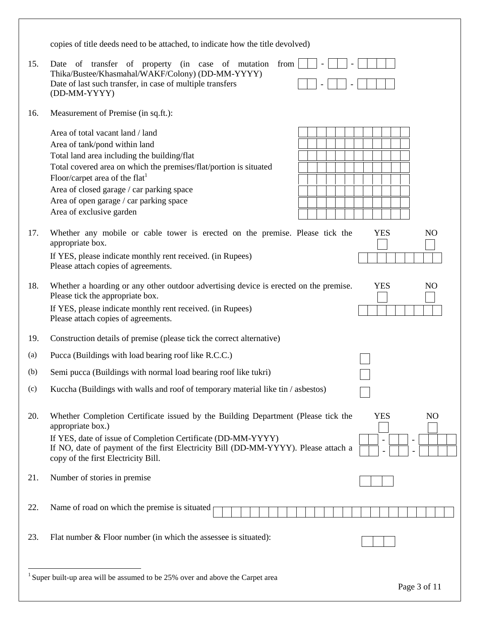|     | copies of title deeds need to be attached, to indicate how the title devolved)                                                                                                                                                                                                                                                                          |                                                                     |
|-----|---------------------------------------------------------------------------------------------------------------------------------------------------------------------------------------------------------------------------------------------------------------------------------------------------------------------------------------------------------|---------------------------------------------------------------------|
| 15. | Date of transfer of property (in case of mutation<br>from<br>Thika/Bustee/Khasmahal/WAKF/Colony) (DD-MM-YYYY)<br>Date of last such transfer, in case of multiple transfers<br>(DD-MM-YYYY)                                                                                                                                                              |                                                                     |
| 16. | Measurement of Premise (in sq.ft.):                                                                                                                                                                                                                                                                                                                     |                                                                     |
|     | Area of total vacant land / land<br>Area of tank/pond within land<br>Total land area including the building/flat<br>Total covered area on which the premises/flat/portion is situated<br>Floor/carpet area of the flat <sup>1</sup><br>Area of closed garage / car parking space<br>Area of open garage / car parking space<br>Area of exclusive garden |                                                                     |
| 17. | Whether any mobile or cable tower is erected on the premise. Please tick the<br>appropriate box.<br>If YES, please indicate monthly rent received. (in Rupees)<br>Please attach copies of agreements.                                                                                                                                                   | <b>YES</b><br>N <sub>O</sub>                                        |
| 18. | Whether a hoarding or any other outdoor advertising device is erected on the premise.<br>Please tick the appropriate box.<br>If YES, please indicate monthly rent received. (in Rupees)<br>Please attach copies of agreements.                                                                                                                          | <b>YES</b><br>N <sub>O</sub>                                        |
| 19. | Construction details of premise (please tick the correct alternative)                                                                                                                                                                                                                                                                                   |                                                                     |
| (a) | Pucca (Buildings with load bearing roof like R.C.C.)                                                                                                                                                                                                                                                                                                    |                                                                     |
| (b) | Semi pucca (Buildings with normal load bearing roof like tukri)                                                                                                                                                                                                                                                                                         |                                                                     |
| (c) | Kuccha (Buildings with walls and roof of temporary material like tin / asbestos)                                                                                                                                                                                                                                                                        |                                                                     |
| 20. | Whether Completion Certificate issued by the Building Department (Please tick the<br>appropriate box.)<br>If YES, date of issue of Completion Certificate (DD-MM-YYYY)<br>If NO, date of payment of the first Electricity Bill (DD-MM-YYYY). Please attach a<br>copy of the first Electricity Bill.                                                     | <b>YES</b><br>N <sub>O</sub><br>$\qquad \qquad -$<br>$\overline{a}$ |
| 21. | Number of stories in premise                                                                                                                                                                                                                                                                                                                            |                                                                     |
| 22. | Name of road on which the premise is situated                                                                                                                                                                                                                                                                                                           |                                                                     |
| 23. | Flat number $&$ Floor number (in which the assessee is situated):                                                                                                                                                                                                                                                                                       |                                                                     |
|     | <sup>1</sup> Super built-up area will be assumed to be $25%$ over and above the Carpet area                                                                                                                                                                                                                                                             | Page 3 of 11                                                        |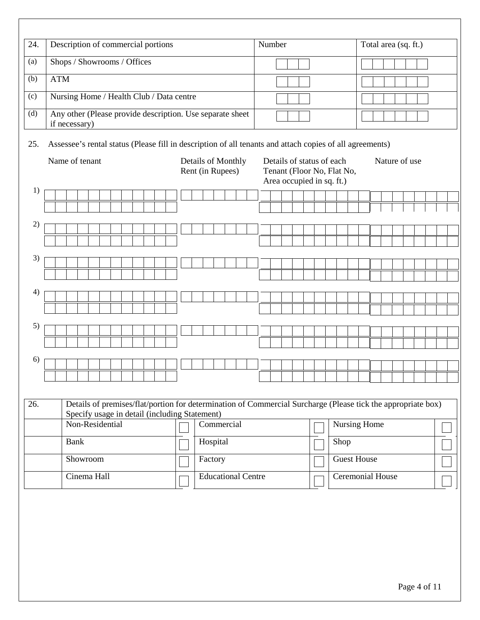| 24. |                                                          | Description of commercial portions                                         |             |  |                 |  |  |                                               |                                               |  |  |  |          |                                                                                      |  |         |  |            |  |  |      |  | Number |  |               |  |                    |  |  |  | Total area (sq. ft.)                                                                                         |              |  |  |  |  |  |  |  |  |
|-----|----------------------------------------------------------|----------------------------------------------------------------------------|-------------|--|-----------------|--|--|-----------------------------------------------|-----------------------------------------------|--|--|--|----------|--------------------------------------------------------------------------------------|--|---------|--|------------|--|--|------|--|--------|--|---------------|--|--------------------|--|--|--|--------------------------------------------------------------------------------------------------------------|--------------|--|--|--|--|--|--|--|--|
| (a) | Shops / Showrooms / Offices                              |                                                                            |             |  |                 |  |  |                                               |                                               |  |  |  |          |                                                                                      |  |         |  |            |  |  |      |  |        |  |               |  |                    |  |  |  |                                                                                                              |              |  |  |  |  |  |  |  |  |
| (b) | <b>ATM</b>                                               |                                                                            |             |  |                 |  |  |                                               |                                               |  |  |  |          |                                                                                      |  |         |  |            |  |  |      |  |        |  |               |  |                    |  |  |  |                                                                                                              |              |  |  |  |  |  |  |  |  |
| (c) | Nursing Home / Health Club / Data centre                 |                                                                            |             |  |                 |  |  |                                               |                                               |  |  |  |          |                                                                                      |  |         |  |            |  |  |      |  |        |  |               |  |                    |  |  |  |                                                                                                              |              |  |  |  |  |  |  |  |  |
| (d) |                                                          | Any other (Please provide description. Use separate sheet<br>if necessary) |             |  |                 |  |  |                                               |                                               |  |  |  |          |                                                                                      |  |         |  |            |  |  |      |  |        |  |               |  |                    |  |  |  |                                                                                                              |              |  |  |  |  |  |  |  |  |
| 25. |                                                          |                                                                            |             |  |                 |  |  |                                               |                                               |  |  |  |          |                                                                                      |  |         |  |            |  |  |      |  |        |  |               |  |                    |  |  |  | Assessee's rental status (Please fill in description of all tenants and attach copies of all agreements)     |              |  |  |  |  |  |  |  |  |
|     | Name of tenant<br>Details of Monthly<br>Rent (in Rupees) |                                                                            |             |  |                 |  |  |                                               |                                               |  |  |  |          | Details of status of each<br>Tenant (Floor No, Flat No,<br>Area occupied in sq. ft.) |  |         |  |            |  |  |      |  |        |  | Nature of use |  |                    |  |  |  |                                                                                                              |              |  |  |  |  |  |  |  |  |
| 1)  |                                                          |                                                                            |             |  |                 |  |  |                                               |                                               |  |  |  |          |                                                                                      |  |         |  |            |  |  |      |  |        |  |               |  |                    |  |  |  |                                                                                                              |              |  |  |  |  |  |  |  |  |
|     |                                                          |                                                                            |             |  |                 |  |  |                                               |                                               |  |  |  |          |                                                                                      |  |         |  |            |  |  |      |  |        |  |               |  |                    |  |  |  |                                                                                                              |              |  |  |  |  |  |  |  |  |
| 2)  |                                                          |                                                                            |             |  |                 |  |  |                                               |                                               |  |  |  |          |                                                                                      |  |         |  |            |  |  |      |  |        |  |               |  |                    |  |  |  |                                                                                                              |              |  |  |  |  |  |  |  |  |
|     |                                                          |                                                                            |             |  |                 |  |  |                                               |                                               |  |  |  |          |                                                                                      |  |         |  |            |  |  |      |  |        |  |               |  |                    |  |  |  |                                                                                                              |              |  |  |  |  |  |  |  |  |
|     |                                                          |                                                                            |             |  |                 |  |  |                                               |                                               |  |  |  |          |                                                                                      |  |         |  |            |  |  |      |  |        |  |               |  |                    |  |  |  |                                                                                                              |              |  |  |  |  |  |  |  |  |
| 3)  |                                                          |                                                                            |             |  |                 |  |  |                                               |                                               |  |  |  |          |                                                                                      |  |         |  |            |  |  |      |  |        |  |               |  |                    |  |  |  |                                                                                                              |              |  |  |  |  |  |  |  |  |
|     |                                                          |                                                                            |             |  |                 |  |  |                                               |                                               |  |  |  |          |                                                                                      |  |         |  |            |  |  |      |  |        |  |               |  |                    |  |  |  |                                                                                                              |              |  |  |  |  |  |  |  |  |
| 4)  |                                                          |                                                                            |             |  |                 |  |  |                                               |                                               |  |  |  |          |                                                                                      |  |         |  |            |  |  |      |  |        |  |               |  |                    |  |  |  |                                                                                                              |              |  |  |  |  |  |  |  |  |
|     |                                                          |                                                                            |             |  |                 |  |  |                                               |                                               |  |  |  |          |                                                                                      |  |         |  |            |  |  |      |  |        |  |               |  |                    |  |  |  |                                                                                                              |              |  |  |  |  |  |  |  |  |
|     |                                                          |                                                                            |             |  |                 |  |  |                                               |                                               |  |  |  |          |                                                                                      |  |         |  |            |  |  |      |  |        |  |               |  |                    |  |  |  |                                                                                                              |              |  |  |  |  |  |  |  |  |
| 5)  |                                                          |                                                                            |             |  |                 |  |  |                                               |                                               |  |  |  |          |                                                                                      |  |         |  |            |  |  |      |  |        |  |               |  |                    |  |  |  |                                                                                                              |              |  |  |  |  |  |  |  |  |
|     |                                                          |                                                                            |             |  |                 |  |  |                                               |                                               |  |  |  |          |                                                                                      |  |         |  |            |  |  |      |  |        |  |               |  |                    |  |  |  |                                                                                                              |              |  |  |  |  |  |  |  |  |
| 6)  |                                                          |                                                                            |             |  |                 |  |  |                                               |                                               |  |  |  |          |                                                                                      |  |         |  |            |  |  |      |  |        |  |               |  |                    |  |  |  |                                                                                                              |              |  |  |  |  |  |  |  |  |
|     |                                                          |                                                                            |             |  |                 |  |  |                                               |                                               |  |  |  |          |                                                                                      |  |         |  |            |  |  |      |  |        |  |               |  |                    |  |  |  |                                                                                                              |              |  |  |  |  |  |  |  |  |
|     |                                                          |                                                                            |             |  |                 |  |  |                                               |                                               |  |  |  |          |                                                                                      |  |         |  |            |  |  |      |  |        |  |               |  |                    |  |  |  |                                                                                                              |              |  |  |  |  |  |  |  |  |
| 26. |                                                          |                                                                            |             |  |                 |  |  | Specify usage in detail (including Statement) |                                               |  |  |  |          |                                                                                      |  |         |  |            |  |  |      |  |        |  |               |  |                    |  |  |  | Details of premises/flat/portion for determination of Commercial Surcharge (Please tick the appropriate box) |              |  |  |  |  |  |  |  |  |
|     |                                                          |                                                                            |             |  | Non-Residential |  |  |                                               |                                               |  |  |  |          |                                                                                      |  |         |  | Commercial |  |  |      |  |        |  |               |  |                    |  |  |  |                                                                                                              | Nursing Home |  |  |  |  |  |  |  |  |
|     |                                                          |                                                                            | <b>Bank</b> |  |                 |  |  |                                               |                                               |  |  |  | Hospital |                                                                                      |  |         |  |            |  |  | Shop |  |        |  |               |  |                    |  |  |  |                                                                                                              |              |  |  |  |  |  |  |  |  |
|     |                                                          |                                                                            |             |  | Showroom        |  |  |                                               |                                               |  |  |  |          |                                                                                      |  | Factory |  |            |  |  |      |  |        |  |               |  | <b>Guest House</b> |  |  |  |                                                                                                              |              |  |  |  |  |  |  |  |  |
|     | Cinema Hall                                              |                                                                            |             |  |                 |  |  |                                               | Ceremonial House<br><b>Educational Centre</b> |  |  |  |          |                                                                                      |  |         |  |            |  |  |      |  |        |  |               |  |                    |  |  |  |                                                                                                              |              |  |  |  |  |  |  |  |  |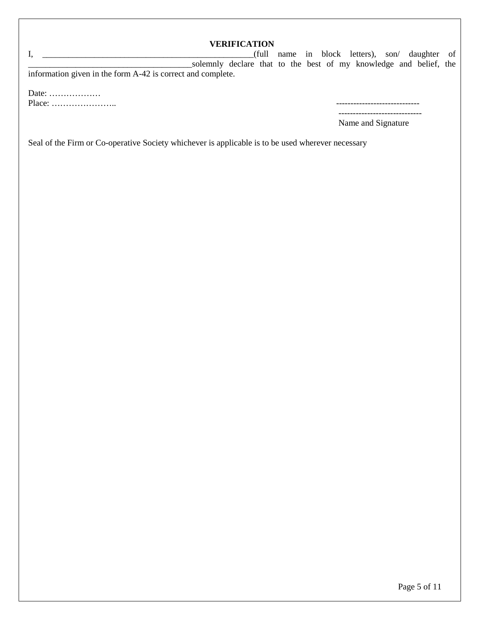|                                                             |                                                                   | <b>VERIFICATION</b> |  |  |  |                                                |  |
|-------------------------------------------------------------|-------------------------------------------------------------------|---------------------|--|--|--|------------------------------------------------|--|
|                                                             |                                                                   |                     |  |  |  | (full name in block letters), son/ daughter of |  |
|                                                             | solemnly declare that to the best of my knowledge and belief, the |                     |  |  |  |                                                |  |
| information given in the form A-42 is correct and complete. |                                                                   |                     |  |  |  |                                                |  |
|                                                             |                                                                   |                     |  |  |  |                                                |  |

Date: ……………… Place: ………………….. -----------------------------

-----------------------------

Name and Signature

Seal of the Firm or Co-operative Society whichever is applicable is to be used wherever necessary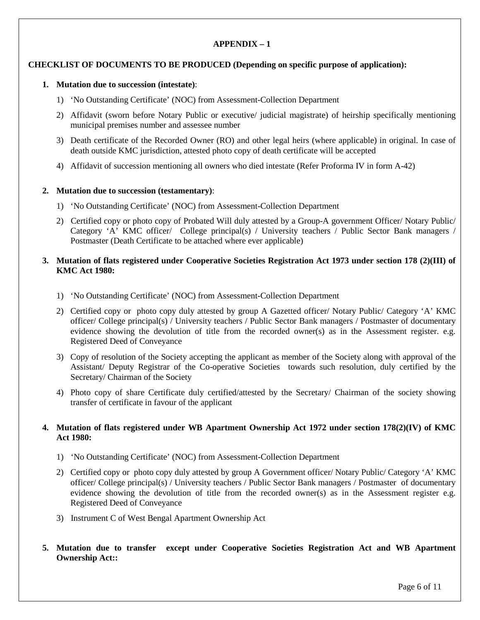# **APPENDIX – 1**

# **CHECKLIST OF DOCUMENTS TO BE PRODUCED (Depending on specific purpose of application):**

### **1. Mutation due to succession (intestate)**:

- 1) 'No Outstanding Certificate' (NOC) from Assessment-Collection Department
- 2) Affidavit (sworn before Notary Public or executive/ judicial magistrate) of heirship specifically mentioning municipal premises number and assessee number
- 3) Death certificate of the Recorded Owner (RO) and other legal heirs (where applicable) in original. In case of death outside KMC jurisdiction, attested photo copy of death certificate will be accepted
- 4) Affidavit of succession mentioning all owners who died intestate (Refer Proforma IV in form A-42)

#### **2. Mutation due to succession (testamentary)**:

- 1) 'No Outstanding Certificate' (NOC) from Assessment-Collection Department
- 2) Certified copy or photo copy of Probated Will duly attested by a Group-A government Officer/ Notary Public/ Category 'A' KMC officer/ College principal(s) / University teachers / Public Sector Bank managers / Postmaster (Death Certificate to be attached where ever applicable)

# **3. Mutation of flats registered under Cooperative Societies Registration Act 1973 under section 178 (2)(III) of KMC Act 1980:**

- 1) 'No Outstanding Certificate' (NOC) from Assessment-Collection Department
- 2) Certified copy or photo copy duly attested by group A Gazetted officer/ Notary Public/ Category 'A' KMC officer/ College principal(s) / University teachers / Public Sector Bank managers / Postmaster of documentary evidence showing the devolution of title from the recorded owner(s) as in the Assessment register. e.g. Registered Deed of Conveyance
- 3) Copy of resolution of the Society accepting the applicant as member of the Society along with approval of the Assistant/ Deputy Registrar of the Co-operative Societies towards such resolution, duly certified by the Secretary/ Chairman of the Society
- 4) Photo copy of share Certificate duly certified/attested by the Secretary/ Chairman of the society showing transfer of certificate in favour of the applicant

# **4. Mutation of flats registered under WB Apartment Ownership Act 1972 under section 178(2)(IV) of KMC Act 1980:**

- 1) 'No Outstanding Certificate' (NOC) from Assessment-Collection Department
- 2) Certified copy or photo copy duly attested by group A Government officer/ Notary Public/ Category 'A' KMC officer/ College principal(s) / University teachers / Public Sector Bank managers / Postmaster of documentary evidence showing the devolution of title from the recorded owner(s) as in the Assessment register e.g. Registered Deed of Conveyance
- 3) Instrument C of West Bengal Apartment Ownership Act
- **5. Mutation due to transfer except under Cooperative Societies Registration Act and WB Apartment Ownership Act::**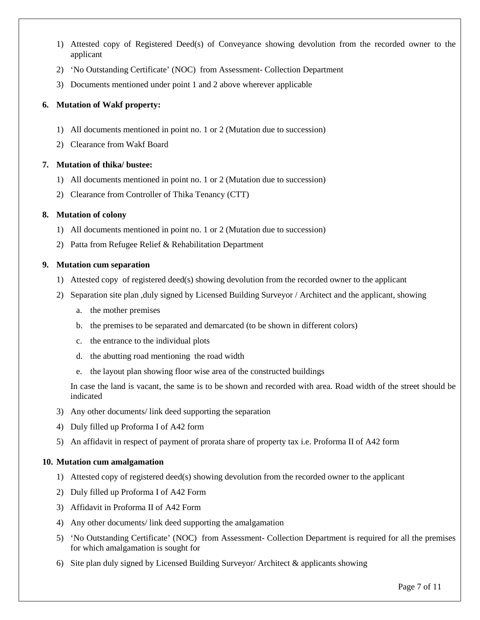- 1) Attested copy of Registered Deed(s) of Conveyance showing devolution from the recorded owner to the applicant
- 2) 'No Outstanding Certificate' (NOC) from Assessment- Collection Department
- 3) Documents mentioned under point 1 and 2 above wherever applicable

# **6. Mutation of Wakf property:**

- 1) All documents mentioned in point no. 1 or 2 (Mutation due to succession)
- 2) Clearance from Wakf Board

# **7. Mutation of thika/ bustee:**

- 1) All documents mentioned in point no. 1 or 2 (Mutation due to succession)
- 2) Clearance from Controller of Thika Tenancy (CTT)

# **8. Mutation of colony**

- 1) All documents mentioned in point no. 1 or 2 (Mutation due to succession)
- 2) Patta from Refugee Relief & Rehabilitation Department

### **9. Mutation cum separation**

- 1) Attested copy of registered deed(s) showing devolution from the recorded owner to the applicant
- 2) Separation site plan ,duly signed by Licensed Building Surveyor / Architect and the applicant, showing
	- a. the mother premises
	- b. the premises to be separated and demarcated (to be shown in different colors)
	- c. the entrance to the individual plots
	- d. the abutting road mentioning the road width
	- e. the layout plan showing floor wise area of the constructed buildings

In case the land is vacant, the same is to be shown and recorded with area. Road width of the street should be indicated

- 3) Any other documents/ link deed supporting the separation
- 4) Duly filled up Proforma I of A42 form
- 5) An affidavit in respect of payment of prorata share of property tax i.e. Proforma II of A42 form

### **10. Mutation cum amalgamation**

- 1) Attested copy of registered deed(s) showing devolution from the recorded owner to the applicant
- 2) Duly filled up Proforma I of A42 Form
- 3) Affidavit in Proforma II of A42 Form
- 4) Any other documents/ link deed supporting the amalgamation
- 5) 'No Outstanding Certificate' (NOC) from Assessment- Collection Department is required for all the premises for which amalgamation is sought for
- 6) Site plan duly signed by Licensed Building Surveyor/ Architect & applicants showing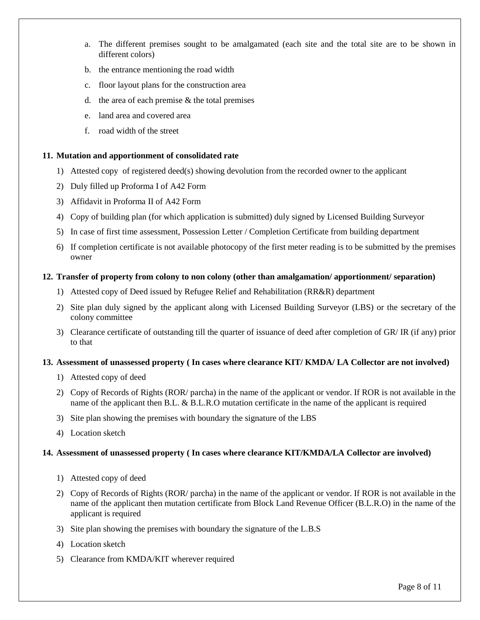- a. The different premises sought to be amalgamated (each site and the total site are to be shown in different colors)
- b. the entrance mentioning the road width
- c. floor layout plans for the construction area
- d. the area of each premise  $\&$  the total premises
- e. land area and covered area
- f. road width of the street

## **11. Mutation and apportionment of consolidated rate**

- 1) Attested copy of registered deed(s) showing devolution from the recorded owner to the applicant
- 2) Duly filled up Proforma I of A42 Form
- 3) Affidavit in Proforma II of A42 Form
- 4) Copy of building plan (for which application is submitted) duly signed by Licensed Building Surveyor
- 5) In case of first time assessment, Possession Letter / Completion Certificate from building department
- 6) If completion certificate is not available photocopy of the first meter reading is to be submitted by the premises owner

### **12. Transfer of property from colony to non colony (other than amalgamation/ apportionment/ separation)**

- 1) Attested copy of Deed issued by Refugee Relief and Rehabilitation (RR&R) department
- 2) Site plan duly signed by the applicant along with Licensed Building Surveyor (LBS) or the secretary of the colony committee
- 3) Clearance certificate of outstanding till the quarter of issuance of deed after completion of GR/ IR (if any) prior to that

### **13. Assessment of unassessed property ( In cases where clearance KIT/ KMDA/ LA Collector are not involved)**

- 1) Attested copy of deed
- 2) Copy of Records of Rights (ROR/ parcha) in the name of the applicant or vendor. If ROR is not available in the name of the applicant then B.L. & B.L.R.O mutation certificate in the name of the applicant is required
- 3) Site plan showing the premises with boundary the signature of the LBS
- 4) Location sketch

### **14. Assessment of unassessed property ( In cases where clearance KIT/KMDA/LA Collector are involved)**

- 1) Attested copy of deed
- 2) Copy of Records of Rights (ROR/ parcha) in the name of the applicant or vendor. If ROR is not available in the name of the applicant then mutation certificate from Block Land Revenue Officer (B.L.R.O) in the name of the applicant is required
- 3) Site plan showing the premises with boundary the signature of the L.B.S
- 4) Location sketch
- 5) Clearance from KMDA/KIT wherever required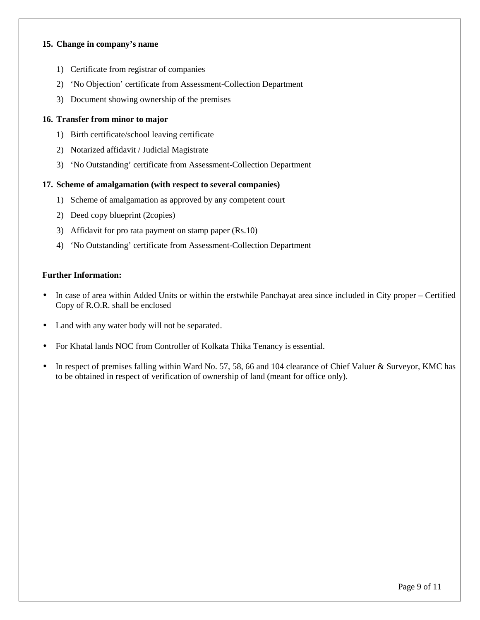#### **15. Change in company's name**

- 1) Certificate from registrar of companies
- 2) 'No Objection' certificate from Assessment-Collection Department
- 3) Document showing ownership of the premises

### **16. Transfer from minor to major**

- 1) Birth certificate/school leaving certificate
- 2) Notarized affidavit / Judicial Magistrate
- 3) 'No Outstanding' certificate from Assessment-Collection Department

#### **17. Scheme of amalgamation (with respect to several companies)**

- 1) Scheme of amalgamation as approved by any competent court
- 2) Deed copy blueprint (2copies)
- 3) Affidavit for pro rata payment on stamp paper (Rs.10)
- 4) 'No Outstanding' certificate from Assessment-Collection Department

#### **Further Information:**

- In case of area within Added Units or within the erstwhile Panchayat area since included in City proper Certified Copy of R.O.R. shall be enclosed
- Land with any water body will not be separated.
- For Khatal lands NOC from Controller of Kolkata Thika Tenancy is essential.
- In respect of premises falling within Ward No. 57, 58, 66 and 104 clearance of Chief Valuer & Surveyor, KMC has to be obtained in respect of verification of ownership of land (meant for office only).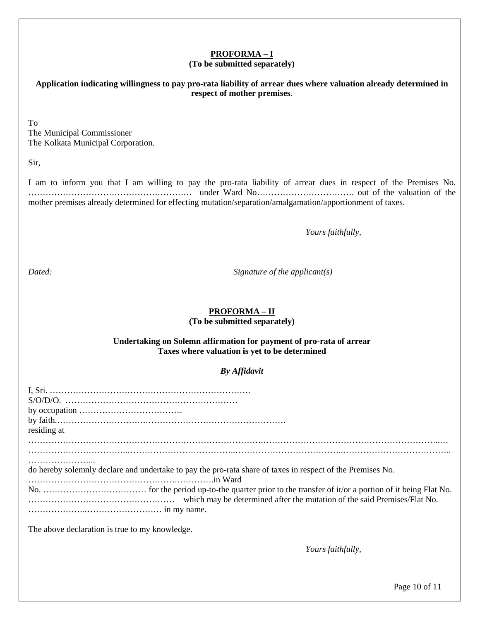# **PROFORMA – I**

#### **(To be submitted separately)**

**Application indicating willingness to pay pro-rata liability of arrear dues where valuation already determined in respect of mother premises**.

To The Municipal Commissioner The Kolkata Municipal Corporation.

Sir,

I am to inform you that I am willing to pay the pro-rata liability of arrear dues in respect of the Premises No. ………………………………………………… under Ward No……………………………. out of the valuation of the mother premises already determined for effecting mutation/separation/amalgamation/apportionment of taxes.

 *Yours faithfully,*

*Dated: Signature of the applicant(s)* 

# **PROFORMA – II**

**(To be submitted separately)** 

#### **Undertaking on Solemn affirmation for payment of pro-rata of arrear Taxes where valuation is yet to be determined**

# *By Affidavit*

| residing at                                                                                                |
|------------------------------------------------------------------------------------------------------------|
| do hereby solemnly declare and undertake to pay the pro-rata share of taxes in respect of the Premises No. |
|                                                                                                            |
| The above declaration is true to my knowledge.                                                             |

 *Yours faithfully,*